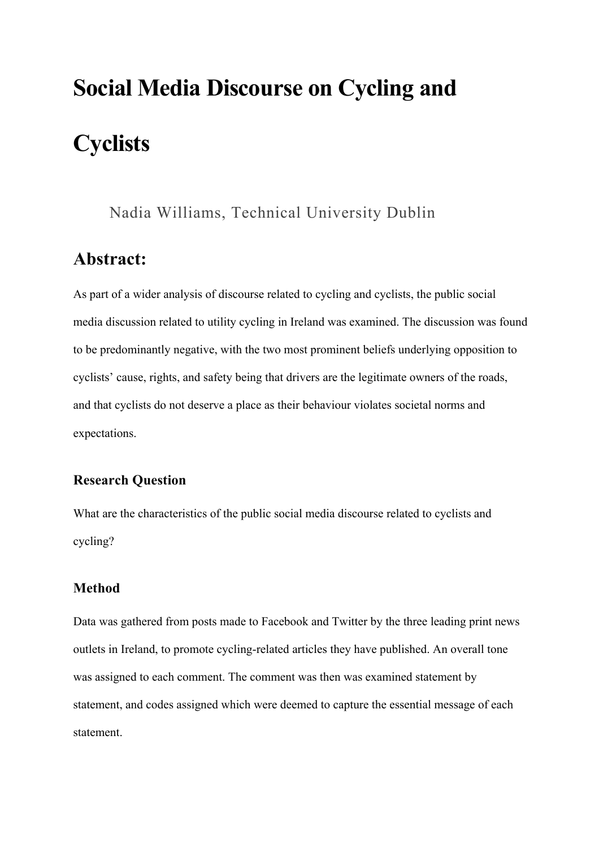# **Social Media Discourse on Cycling and Cyclists**

## Nadia Williams, Technical University Dublin

# **Abstract:**

As part of a wider analysis of discourse related to cycling and cyclists, the public social media discussion related to utility cycling in Ireland was examined. The discussion was found to be predominantly negative, with the two most prominent beliefs underlying opposition to cyclists' cause, rights, and safety being that drivers are the legitimate owners of the roads, and that cyclists do not deserve a place as their behaviour violates societal norms and expectations.

## **Research Question**

What are the characteristics of the public social media discourse related to cyclists and cycling?

## **Method**

Data was gathered from posts made to Facebook and Twitter by the three leading print news outlets in Ireland, to promote cycling-related articles they have published. An overall tone was assigned to each comment. The comment was then was examined statement by statement, and codes assigned which were deemed to capture the essential message of each statement.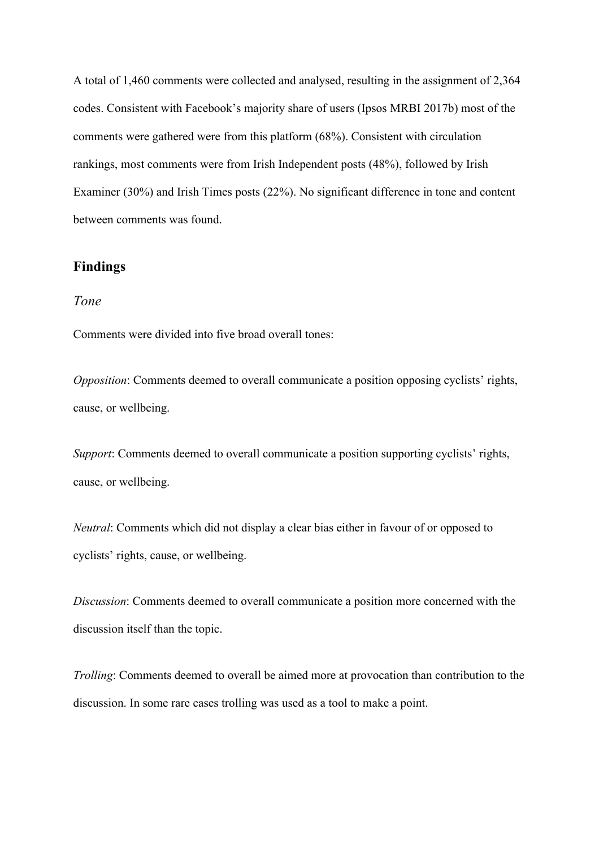A total of 1,460 comments were collected and analysed, resulting in the assignment of 2,364 codes. Consistent with Facebook's majority share of users (Ipsos MRBI 2017b) most of the comments were gathered were from this platform (68%). Consistent with circulation rankings, most comments were from Irish Independent posts (48%), followed by Irish Examiner (30%) and Irish Times posts (22%). No significant difference in tone and content between comments was found.

#### **Findings**

#### *Tone*

Comments were divided into five broad overall tones:

*Opposition*: Comments deemed to overall communicate a position opposing cyclists' rights, cause, or wellbeing.

*Support*: Comments deemed to overall communicate a position supporting cyclists' rights, cause, or wellbeing.

*Neutral*: Comments which did not display a clear bias either in favour of or opposed to cyclists' rights, cause, or wellbeing.

*Discussion*: Comments deemed to overall communicate a position more concerned with the discussion itself than the topic.

*Trolling*: Comments deemed to overall be aimed more at provocation than contribution to the discussion. In some rare cases trolling was used as a tool to make a point.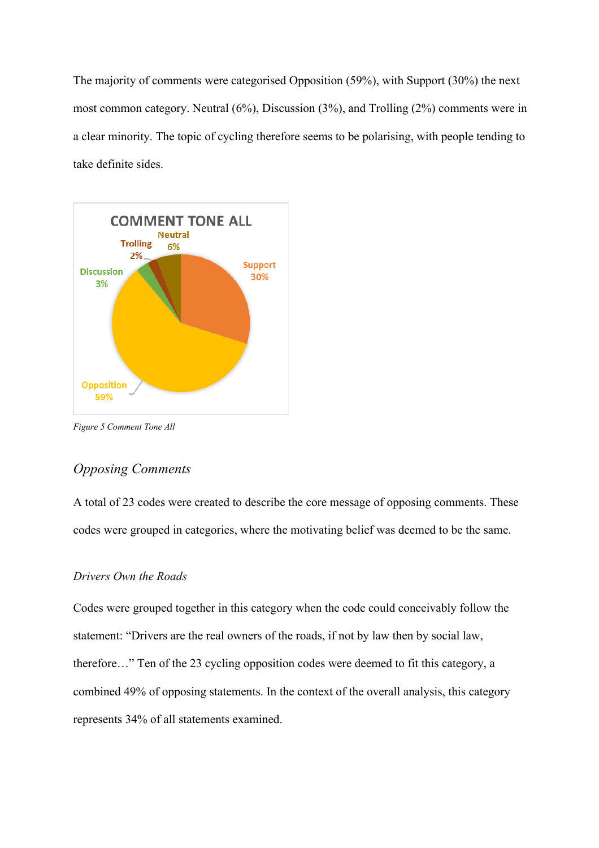The majority of comments were categorised Opposition (59%), with Support (30%) the next most common category. Neutral (6%), Discussion (3%), and Trolling (2%) comments were in a clear minority. The topic of cycling therefore seems to be polarising, with people tending to take definite sides.



*Figure 5 Comment Tone All*

## *Opposing Comments*

A total of 23 codes were created to describe the core message of opposing comments. These codes were grouped in categories, where the motivating belief was deemed to be the same.

#### *Drivers Own the Roads*

Codes were grouped together in this category when the code could conceivably follow the statement: "Drivers are the real owners of the roads, if not by law then by social law, therefore…" Ten of the 23 cycling opposition codes were deemed to fit this category, a combined 49% of opposing statements. In the context of the overall analysis, this category represents 34% of all statements examined.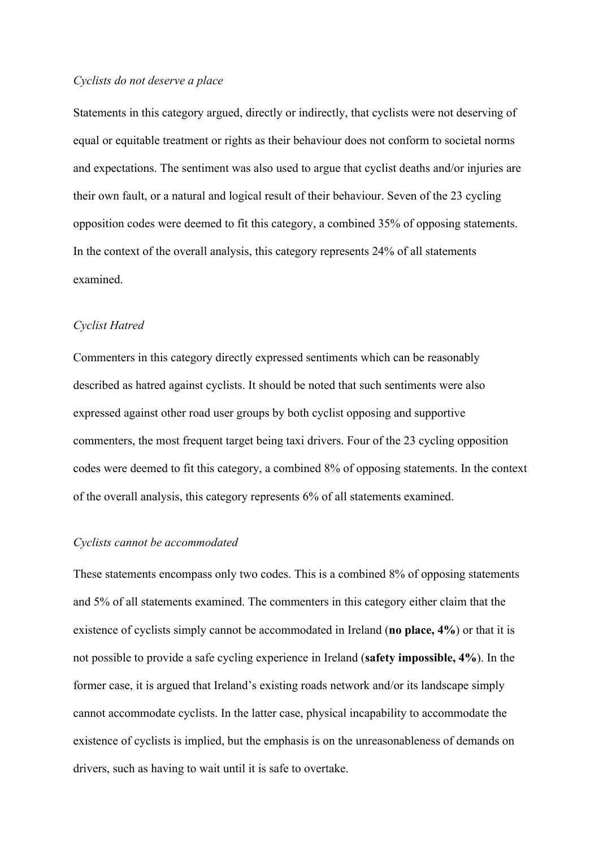#### *Cyclists do not deserve a place*

Statements in this category argued, directly or indirectly, that cyclists were not deserving of equal or equitable treatment or rights as their behaviour does not conform to societal norms and expectations. The sentiment was also used to argue that cyclist deaths and/or injuries are their own fault, or a natural and logical result of their behaviour. Seven of the 23 cycling opposition codes were deemed to fit this category, a combined 35% of opposing statements. In the context of the overall analysis, this category represents 24% of all statements examined.

#### *Cyclist Hatred*

Commenters in this category directly expressed sentiments which can be reasonably described as hatred against cyclists. It should be noted that such sentiments were also expressed against other road user groups by both cyclist opposing and supportive commenters, the most frequent target being taxi drivers. Four of the 23 cycling opposition codes were deemed to fit this category, a combined 8% of opposing statements. In the context of the overall analysis, this category represents 6% of all statements examined.

#### *Cyclists cannot be accommodated*

These statements encompass only two codes. This is a combined 8% of opposing statements and 5% of all statements examined. The commenters in this category either claim that the existence of cyclists simply cannot be accommodated in Ireland (**no place, 4%**) or that it is not possible to provide a safe cycling experience in Ireland (**safety impossible, 4%**). In the former case, it is argued that Ireland's existing roads network and/or its landscape simply cannot accommodate cyclists. In the latter case, physical incapability to accommodate the existence of cyclists is implied, but the emphasis is on the unreasonableness of demands on drivers, such as having to wait until it is safe to overtake.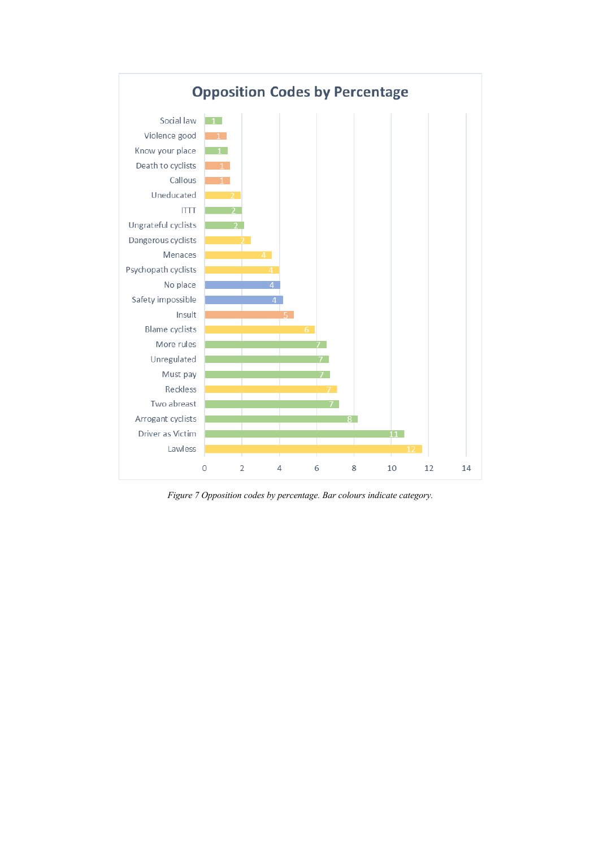

*Figure 7 Opposition codes by percentage. Bar colours indicate category.*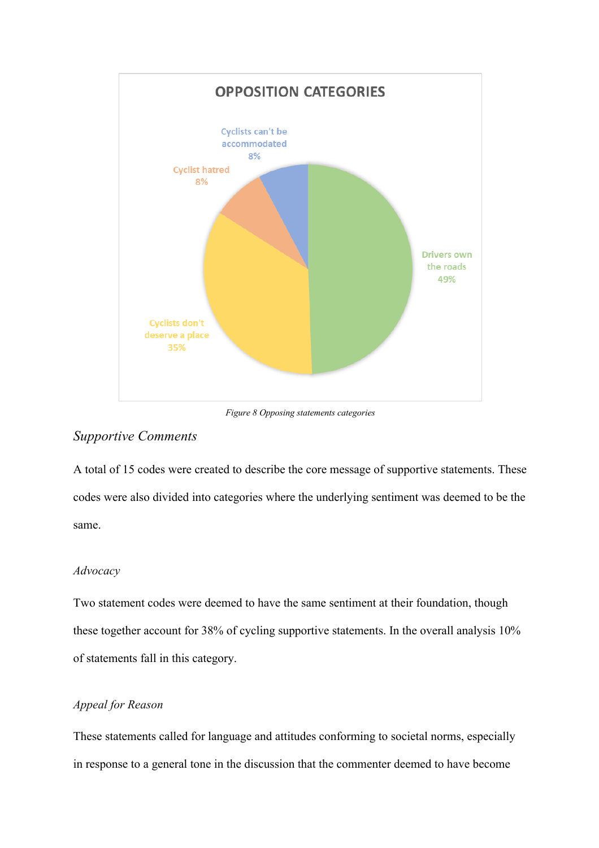

*Figure 8 Opposing statements categories*

### *Supportive Comments*

A total of 15 codes were created to describe the core message of supportive statements. These codes were also divided into categories where the underlying sentiment was deemed to be the same.

#### *Advocacy*

Two statement codes were deemed to have the same sentiment at their foundation, though these together account for 38% of cycling supportive statements. In the overall analysis 10% of statements fall in this category.

#### *Appeal for Reason*

These statements called for language and attitudes conforming to societal norms, especially in response to a general tone in the discussion that the commenter deemed to have become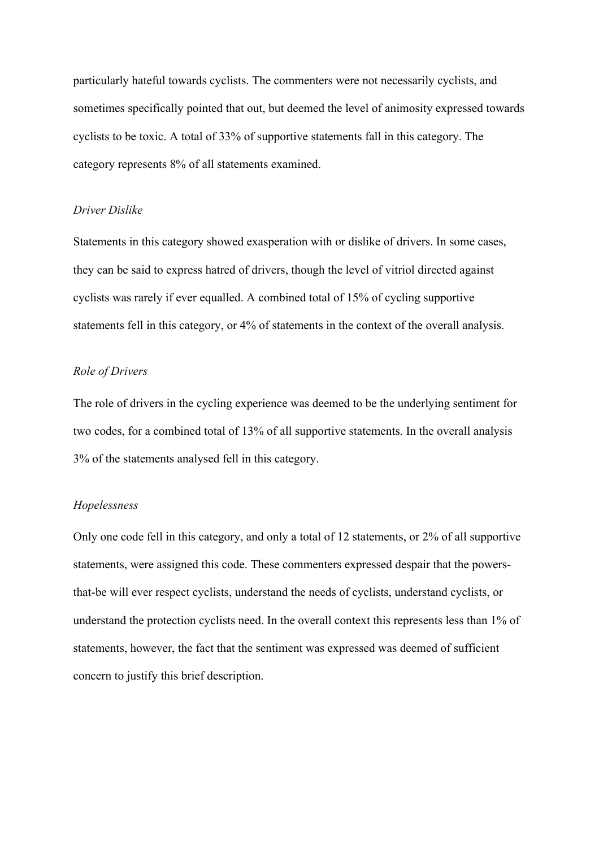particularly hateful towards cyclists. The commenters were not necessarily cyclists, and sometimes specifically pointed that out, but deemed the level of animosity expressed towards cyclists to be toxic. A total of 33% of supportive statements fall in this category. The category represents 8% of all statements examined.

#### *Driver Dislike*

Statements in this category showed exasperation with or dislike of drivers. In some cases, they can be said to express hatred of drivers, though the level of vitriol directed against cyclists was rarely if ever equalled. A combined total of 15% of cycling supportive statements fell in this category, or 4% of statements in the context of the overall analysis.

#### *Role of Drivers*

The role of drivers in the cycling experience was deemed to be the underlying sentiment for two codes, for a combined total of 13% of all supportive statements. In the overall analysis 3% of the statements analysed fell in this category.

#### *Hopelessness*

Only one code fell in this category, and only a total of 12 statements, or 2% of all supportive statements, were assigned this code. These commenters expressed despair that the powersthat-be will ever respect cyclists, understand the needs of cyclists, understand cyclists, or understand the protection cyclists need. In the overall context this represents less than 1% of statements, however, the fact that the sentiment was expressed was deemed of sufficient concern to justify this brief description.